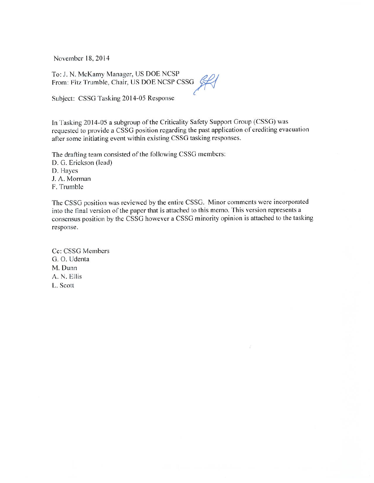November 18, 2014

To: J. N. McKamy Manager, US DOE NCSP From: Fitz Trumble, Chair, US DOE NCSP CSSG

Subject: CSSG Tasking 2014-05 Response

In Tasking 2014-05 a subgroup of the Criticality Safety Support Group (CSSG) was requested to provide a CSSG position regarding the past application of crediting evacuation after some initiating event within existing CSSG tasking responses.

The drafting team consisted of the following CSSG members: D. G. Erickson (lead) D. Hayes J. A. Morman F. Trumble

The CSSG position was reviewed by the entire CSSG. Minor comments were incorporated into the final version of the paper that is attached to this memo. This version represents a consensus position by the CSSG however a CSSG minority opinion is attached to the tasking response.

Cc: CSSG Members G. O. Udenta M. Dunn A. N. Ellis L. Scott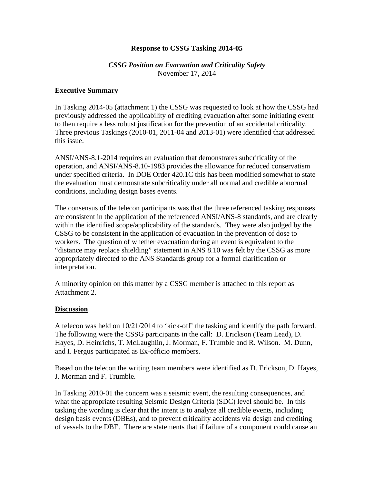### **Response to CSSG Tasking 2014-05**

### *CSSG Position on Evacuation and Criticality Safety*  November 17, 2014

### **Executive Summary**

In Tasking 2014-05 (attachment 1) the CSSG was requested to look at how the CSSG had previously addressed the applicability of crediting evacuation after some initiating event to then require a less robust justification for the prevention of an accidental criticality. Three previous Taskings (2010-01, 2011-04 and 2013-01) were identified that addressed this issue.

ANSI/ANS-8.1-2014 requires an evaluation that demonstrates subcriticality of the operation, and ANSI/ANS-8.10-1983 provides the allowance for reduced conservatism under specified criteria. In DOE Order 420.1C this has been modified somewhat to state the evaluation must demonstrate subcriticality under all normal and credible abnormal conditions, including design bases events.

The consensus of the telecon participants was that the three referenced tasking responses are consistent in the application of the referenced ANSI/ANS-8 standards, and are clearly within the identified scope/applicability of the standards. They were also judged by the CSSG to be consistent in the application of evacuation in the prevention of dose to workers. The question of whether evacuation during an event is equivalent to the "distance may replace shielding" statement in ANS 8.10 was felt by the CSSG as more appropriately directed to the ANS Standards group for a formal clarification or interpretation.

A minority opinion on this matter by a CSSG member is attached to this report as Attachment 2.

#### **Discussion**

A telecon was held on 10/21/2014 to 'kick-off' the tasking and identify the path forward. The following were the CSSG participants in the call: D. Erickson (Team Lead), D. Hayes, D. Heinrichs, T. McLaughlin, J. Morman, F. Trumble and R. Wilson. M. Dunn, and I. Fergus participated as Ex-officio members.

Based on the telecon the writing team members were identified as D. Erickson, D. Hayes, J. Morman and F. Trumble.

In Tasking 2010-01 the concern was a seismic event, the resulting consequences, and what the appropriate resulting Seismic Design Criteria (SDC) level should be. In this tasking the wording is clear that the intent is to analyze all credible events, including design basis events (DBEs), and to prevent criticality accidents via design and crediting of vessels to the DBE. There are statements that if failure of a component could cause an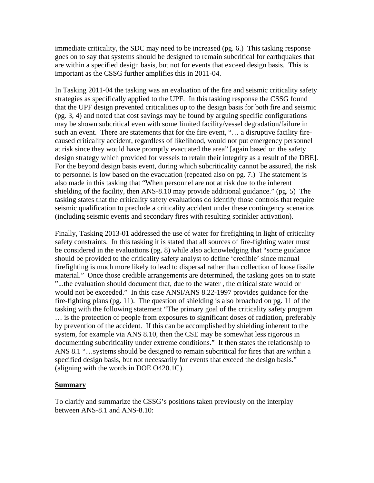immediate criticality, the SDC may need to be increased (pg. 6.) This tasking response goes on to say that systems should be designed to remain subcritical for earthquakes that are within a specified design basis, but not for events that exceed design basis. This is important as the CSSG further amplifies this in 2011-04.

In Tasking 2011-04 the tasking was an evaluation of the fire and seismic criticality safety strategies as specifically applied to the UPF. In this tasking response the CSSG found that the UPF design prevented criticalities up to the design basis for both fire and seismic (pg. 3, 4) and noted that cost savings may be found by arguing specific configurations may be shown subcritical even with some limited facility/vessel degradation/failure in such an event. There are statements that for the fire event, "... a disruptive facility firecaused criticality accident, regardless of likelihood, would not put emergency personnel at risk since they would have promptly evacuated the area" [again based on the safety design strategy which provided for vessels to retain their integrity as a result of the DBE]. For the beyond design basis event, during which subcriticality cannot be assured, the risk to personnel is low based on the evacuation (repeated also on pg. 7.) The statement is also made in this tasking that "When personnel are not at risk due to the inherent shielding of the facility, then ANS-8.10 may provide additional guidance." (pg. 5) The tasking states that the criticality safety evaluations do identify those controls that require seismic qualification to preclude a criticality accident under these contingency scenarios (including seismic events and secondary fires with resulting sprinkler activation).

Finally, Tasking 2013-01 addressed the use of water for firefighting in light of criticality safety constraints. In this tasking it is stated that all sources of fire-fighting water must be considered in the evaluations (pg. 8) while also acknowledging that "some guidance should be provided to the criticality safety analyst to define 'credible' since manual firefighting is much more likely to lead to dispersal rather than collection of loose fissile material." Once those credible arrangements are determined, the tasking goes on to state "...the evaluation should document that, due to the water , the critical state would or would not be exceeded." In this case ANSI/ANS 8.22-1997 provides guidance for the fire-fighting plans (pg. 11). The question of shielding is also broached on pg. 11 of the tasking with the following statement "The primary goal of the criticality safety program … is the protection of people from exposures to significant doses of radiation, preferably by prevention of the accident. If this can be accomplished by shielding inherent to the system, for example via ANS 8.10, then the CSE may be somewhat less rigorous in documenting subcriticality under extreme conditions." It then states the relationship to ANS 8.1 "…systems should be designed to remain subcritical for fires that are within a specified design basis, but not necessarily for events that exceed the design basis." (aligning with the words in DOE O420.1C).

#### **Summary**

To clarify and summarize the CSSG's positions taken previously on the interplay between ANS-8.1 and ANS-8.10: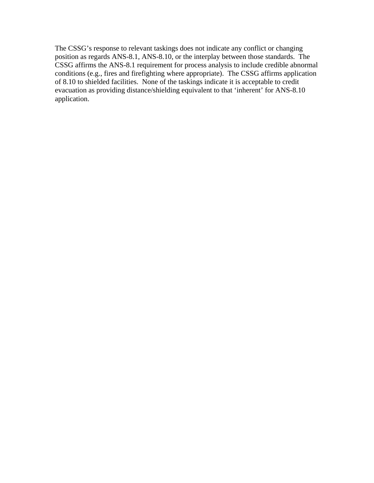The CSSG's response to relevant taskings does not indicate any conflict or changing position as regards ANS-8.1, ANS-8.10, or the interplay between those standards. The CSSG affirms the ANS-8.1 requirement for process analysis to include credible abnormal conditions (e.g., fires and firefighting where appropriate). The CSSG affirms application of 8.10 to shielded facilities. None of the taskings indicate it is acceptable to credit evacuation as providing distance/shielding equivalent to that 'inherent' for ANS-8.10 application.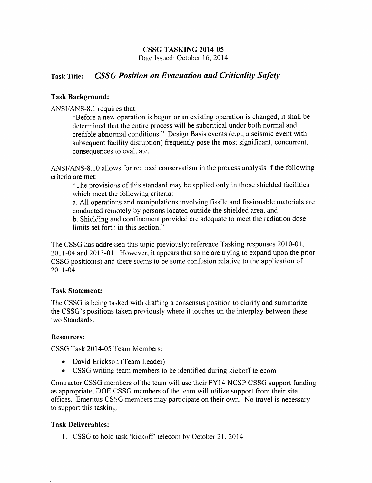## **CSSG TASKING 2014-05**

Date Issued: October 16, 2014

#### **Task Title: CSSG Position on Evacuation and Criticality Safety**

#### **Task Background:**

ANSI/ANS-8.1 requires that:

"Before a new operation is begun or an existing operation is changed, it shall be determined that the entire process will be subcritical under both normal and credible abnormal conditions." Design Basis events (e.g., a seismic event with subsequent facility disruption) frequently pose the most significant, concurrent, consequences to evaluate.

ANSI/ANS-8.10 allows for reduced conservatism in the process analysis if the following criteria are met:

"The provisions of this standard may be applied only in those shielded facilities which meet the following criteria:

a. All operations and manipulations involving fissile and fissionable materials are conducted remotely by persons located outside the shielded area, and b. Shielding and confinement provided are adequate to meet the radiation dose limits set forth in this section."

The CSSG has addressed this topic previously; reference Tasking responses 2010-01, 2011-04 and 2013-01. However, it appears that some are trying to expand upon the prior CSSG position(s) and there seems to be some confusion relative to the application of  $2011 - 04$ .

#### **Task Statement:**

The CSSG is being tasked with drafting a consensus position to clarify and summarize the CSSG's positions taken previously where it touches on the interplay between these two Standards.

#### **Resources:**

CSSG Task 2014-05 Team Members:

- David Erickson (Team Leader)
- CSSG writing team members to be identified during kickoff telecom

Contractor CSSG members of the team will use their FY14 NCSP CSSG support funding as appropriate; DOE CSSG members of the team will utilize support from their site offices. Emeritus CSSG members may participate on their own. No travel is necessary to support this tasking.

#### **Task Deliverables:**

1. CSSG to hold task 'kickoff' telecom by October 21, 2014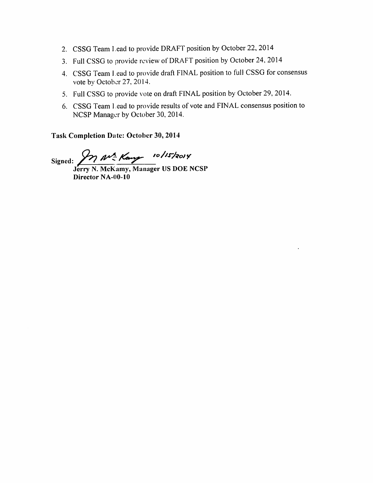- 2. CSSG Team Lead to provide DRAFT position by October 22, 2014
- 3. Full CSSG to provide review of DRAFT position by October 24, 2014
- 4. CSSG Team Lead to provide draft FINAL position to full CSSG for consensus vote by October 27, 2014.
- 5. Full CSSG to provide vote on draft FINAL position by October 29, 2014.
- 6. CSSG Team Lead to provide results of vote and FINAL consensus position to NCSP Manager by October 30, 2014.

**Task Completion Date: October 30, 2014** 

Signed: 2 M<sup>2</sup> Kang 10/15/2014

Director NA-00-10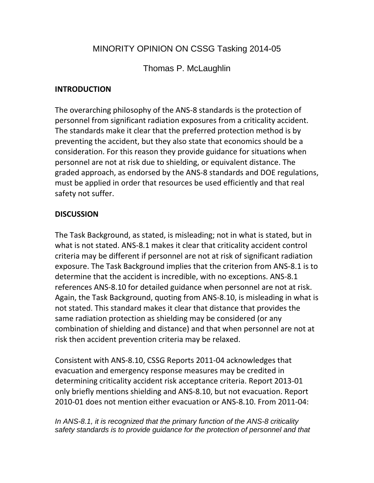# MINORITY OPINION ON CSSG Tasking 2014-05

Thomas P. McLaughlin

## **INTRODUCTION**

The overarching philosophy of the ANS-8 standards is the protection of personnel from significant radiation exposures from a criticality accident. The standards make it clear that the preferred protection method is by preventing the accident, but they also state that economics should be a consideration. For this reason they provide guidance for situations when personnel are not at risk due to shielding, or equivalent distance. The graded approach, as endorsed by the ANS-8 standards and DOE regulations, must be applied in order that resources be used efficiently and that real safety not suffer.

## **DISCUSSION**

The Task Background, as stated, is misleading; not in what is stated, but in what is not stated. ANS-8.1 makes it clear that criticality accident control criteria may be different if personnel are not at risk of significant radiation exposure. The Task Background implies that the criterion from ANS-8.1 is to determine that the accident is incredible, with no exceptions. ANS-8.1 references ANS-8.10 for detailed guidance when personnel are not at risk. Again, the Task Background, quoting from ANS-8.10, is misleading in what is not stated. This standard makes it clear that distance that provides the same radiation protection as shielding may be considered (or any combination of shielding and distance) and that when personnel are not at risk then accident prevention criteria may be relaxed.

Consistent with ANS-8.10, CSSG Reports 2011-04 acknowledges that evacuation and emergency response measures may be credited in determining criticality accident risk acceptance criteria. Report 2013-01 only briefly mentions shielding and ANS-8.10, but not evacuation. Report 2010-01 does not mention either evacuation or ANS-8.10. From 2011-04:

*In ANS-8.1, it is recognized that the primary function of the ANS-8 criticality safety standards is to provide guidance for the protection of personnel and that*